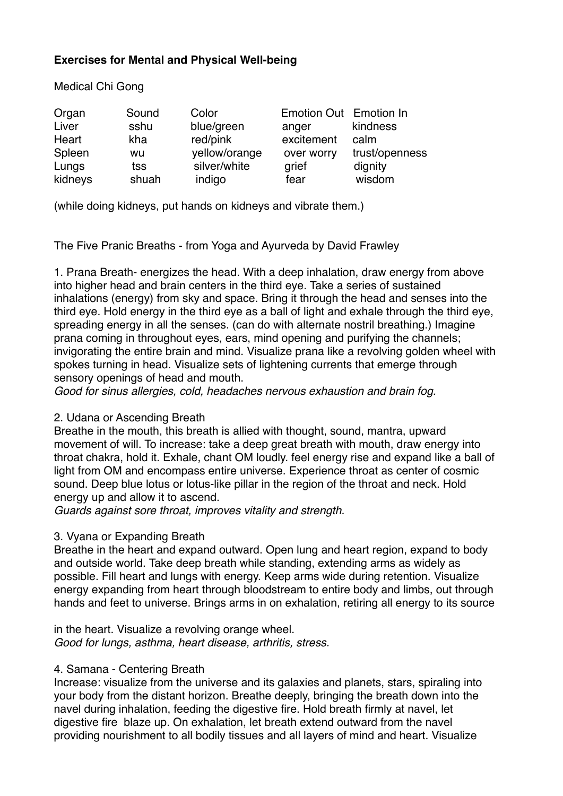# **Exercises for Mental and Physical Well-being**

Medical Chi Gong

| Organ   | Sound | Color         | Emotion Out Emotion In |                |
|---------|-------|---------------|------------------------|----------------|
| Liver   | sshu  | blue/green    | anger                  | kindness       |
| Heart   | kha   | red/pink      | excitement             | calm           |
| Spleen  | wu    | yellow/orange | over worry             | trust/openness |
| Lungs   | tss   | silver/white  | grief                  | dignity        |
| kidneys | shuah | indigo        | fear                   | wisdom         |

(while doing kidneys, put hands on kidneys and vibrate them.)

The Five Pranic Breaths - from Yoga and Ayurveda by David Frawley

1. Prana Breath- energizes the head. With a deep inhalation, draw energy from above into higher head and brain centers in the third eye. Take a series of sustained inhalations (energy) from sky and space. Bring it through the head and senses into the third eye. Hold energy in the third eye as a ball of light and exhale through the third eye, spreading energy in all the senses. (can do with alternate nostril breathing.) Imagine prana coming in throughout eyes, ears, mind opening and purifying the channels; invigorating the entire brain and mind. Visualize prana like a revolving golden wheel with spokes turning in head. Visualize sets of lightening currents that emerge through sensory openings of head and mouth.

*Good for sinus allergies, cold, headaches nervous exhaustion and brain fog.* 

## 2. Udana or Ascending Breath

Breathe in the mouth, this breath is allied with thought, sound, mantra, upward movement of will. To increase: take a deep great breath with mouth, draw energy into throat chakra, hold it. Exhale, chant OM loudly. feel energy rise and expand like a ball of light from OM and encompass entire universe. Experience throat as center of cosmic sound. Deep blue lotus or lotus-like pillar in the region of the throat and neck. Hold energy up and allow it to ascend.

*Guards against sore throat, improves vitality and strength.* 

# 3. Vyana or Expanding Breath

Breathe in the heart and expand outward. Open lung and heart region, expand to body and outside world. Take deep breath while standing, extending arms as widely as possible. Fill heart and lungs with energy. Keep arms wide during retention. Visualize energy expanding from heart through bloodstream to entire body and limbs, out through hands and feet to universe. Brings arms in on exhalation, retiring all energy to its source

in the heart. Visualize a revolving orange wheel. *Good for lungs, asthma, heart disease, arthritis, stress.*

## 4. Samana - Centering Breath

Increase: visualize from the universe and its galaxies and planets, stars, spiraling into your body from the distant horizon. Breathe deeply, bringing the breath down into the navel during inhalation, feeding the digestive fire. Hold breath firmly at navel, let digestive fire blaze up. On exhalation, let breath extend outward from the navel providing nourishment to all bodily tissues and all layers of mind and heart. Visualize